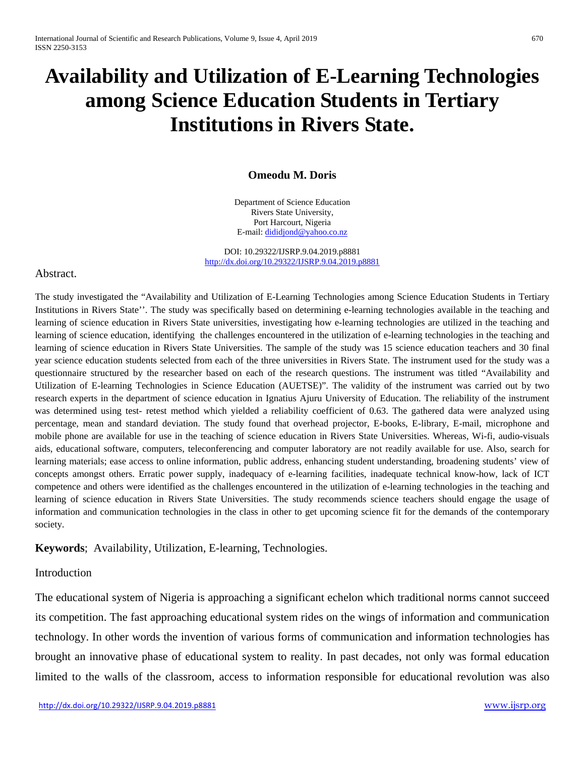# **Availability and Utilization of E-Learning Technologies among Science Education Students in Tertiary Institutions in Rivers State.**

#### **Omeodu M. Doris**

Department of Science Education Rivers State University, Port Harcourt, Nigeria E-mail[: dididjond@yahoo.co.nz](mailto:dididjond@yahoo.co.nz)

DOI: 10.29322/IJSRP.9.04.2019.p8881 [http://dx.doi.org/10.29322/IJSRP.9.04.2019.p8881](http://dx.doi.org/10.29322/IJSRP.9.03.2019.p8881)

#### Abstract.

The study investigated the "Availability and Utilization of E-Learning Technologies among Science Education Students in Tertiary Institutions in Rivers State''. The study was specifically based on determining e-learning technologies available in the teaching and learning of science education in Rivers State universities, investigating how e-learning technologies are utilized in the teaching and learning of science education, identifying the challenges encountered in the utilization of e-learning technologies in the teaching and learning of science education in Rivers State Universities. The sample of the study was 15 science education teachers and 30 final year science education students selected from each of the three universities in Rivers State. The instrument used for the study was a questionnaire structured by the researcher based on each of the research questions. The instrument was titled "Availability and Utilization of E-learning Technologies in Science Education (AUETSE)". The validity of the instrument was carried out by two research experts in the department of science education in Ignatius Ajuru University of Education. The reliability of the instrument was determined using test- retest method which yielded a reliability coefficient of 0.63. The gathered data were analyzed using percentage, mean and standard deviation. The study found that overhead projector, E-books, E-library, E-mail, microphone and mobile phone are available for use in the teaching of science education in Rivers State Universities. Whereas, Wi-fi, audio-visuals aids, educational software, computers, teleconferencing and computer laboratory are not readily available for use. Also, search for learning materials; ease access to online information, public address, enhancing student understanding, broadening students' view of concepts amongst others. Erratic power supply, inadequacy of e-learning facilities, inadequate technical know-how, lack of ICT competence and others were identified as the challenges encountered in the utilization of e-learning technologies in the teaching and learning of science education in Rivers State Universities. The study recommends science teachers should engage the usage of information and communication technologies in the class in other to get upcoming science fit for the demands of the contemporary society.

**Keywords**; Availability, Utilization, E-learning, Technologies.

#### Introduction

The educational system of Nigeria is approaching a significant echelon which traditional norms cannot succeed its competition. The fast approaching educational system rides on the wings of information and communication technology. In other words the invention of various forms of communication and information technologies has brought an innovative phase of educational system to reality. In past decades, not only was formal education limited to the walls of the classroom, access to information responsible for educational revolution was also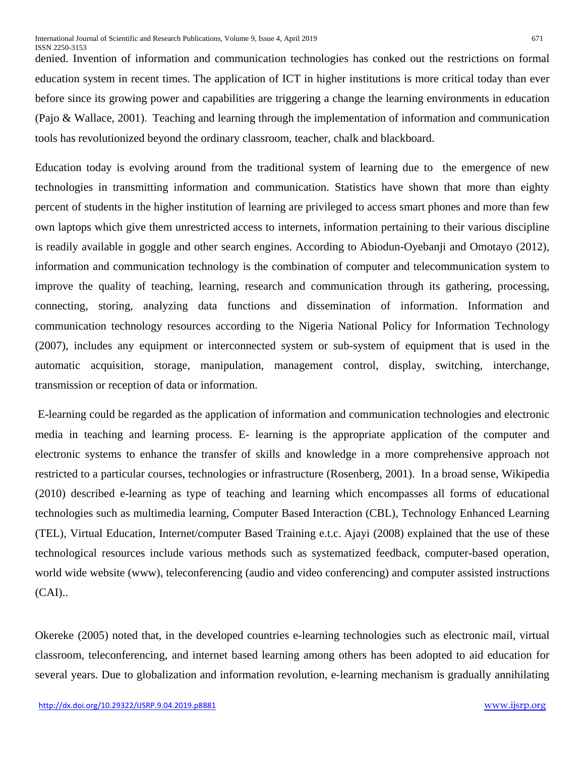denied. Invention of information and communication technologies has conked out the restrictions on formal education system in recent times. The application of ICT in higher institutions is more critical today than ever before since its growing power and capabilities are triggering a change the learning environments in education (Pajo & Wallace, 2001). Teaching and learning through the implementation of information and communication tools has revolutionized beyond the ordinary classroom, teacher, chalk and blackboard.

Education today is evolving around from the traditional system of learning due to the emergence of new technologies in transmitting information and communication. Statistics have shown that more than eighty percent of students in the higher institution of learning are privileged to access smart phones and more than few own laptops which give them unrestricted access to internets, information pertaining to their various discipline is readily available in goggle and other search engines. According to Abiodun-Oyebanji and Omotayo (2012), information and communication technology is the combination of computer and telecommunication system to improve the quality of teaching, learning, research and communication through its gathering, processing, connecting, storing, analyzing data functions and dissemination of information. Information and communication technology resources according to the Nigeria National Policy for Information Technology (2007), includes any equipment or interconnected system or sub-system of equipment that is used in the automatic acquisition, storage, manipulation, management control, display, switching, interchange, transmission or reception of data or information.

E-learning could be regarded as the application of information and communication technologies and electronic media in teaching and learning process. E- learning is the appropriate application of the computer and electronic systems to enhance the transfer of skills and knowledge in a more comprehensive approach not restricted to a particular courses, technologies or infrastructure (Rosenberg, 2001). In a broad sense, Wikipedia (2010) described e-learning as type of teaching and learning which encompasses all forms of educational technologies such as multimedia learning, Computer Based Interaction (CBL), Technology Enhanced Learning (TEL), Virtual Education, Internet/computer Based Training e.t.c. Ajayi (2008) explained that the use of these technological resources include various methods such as systematized feedback, computer-based operation, world wide website (www), teleconferencing (audio and video conferencing) and computer assisted instructions (CAI)..

Okereke (2005) noted that, in the developed countries e-learning technologies such as electronic mail, virtual classroom, teleconferencing, and internet based learning among others has been adopted to aid education for several years. Due to globalization and information revolution, e-learning mechanism is gradually annihilating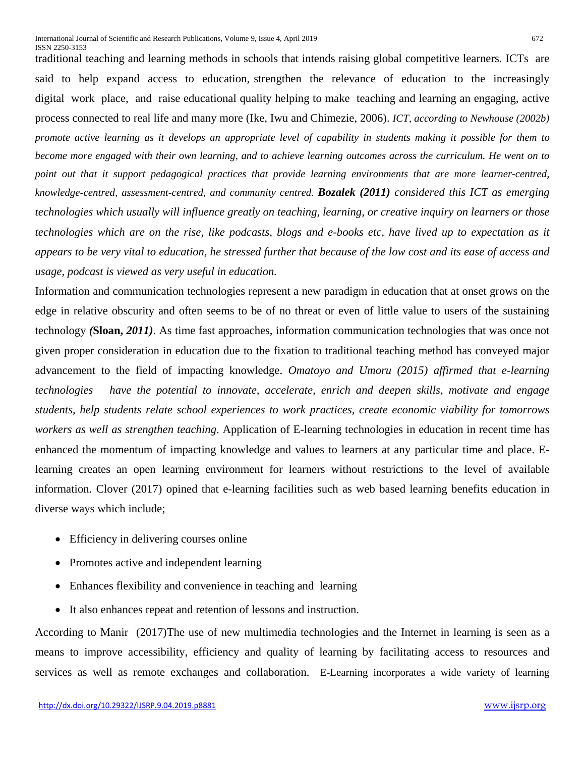traditional teaching and learning methods in schools that intends raising global competitive learners. ICTs are said to help expand access to education, strengthen the relevance of education to the increasingly digital work place, and raise educational quality helping to make teaching and learning an engaging, active process connected to real life and many more (Ike, Iwu and Chimezie, 2006). *ICT, according to Newhouse (2002b) promote active learning as it develops an appropriate level of capability in students making it possible for them to become more engaged with their own learning, and to achieve learning outcomes across the curriculum. He went on to point out that it support pedagogical practices that provide learning environments that are more learner-centred, knowledge-centred, assessment-centred, and community centred. Bozalek (2011) considered this ICT as emerging technologies which usually will influence greatly on teaching, learning, or creative inquiry on learners or those technologies which are on the rise, like podcasts, blogs and e-books etc, have lived up to expectation as it appears to be very vital to education, he stressed further that because of the low cost and its ease of access and usage, podcast is viewed as very useful in education.*

Information and communication technologies represent a new paradigm in education that at onset grows on the edge in relative obscurity and often seems to be of no threat or even of little value to users of the sustaining technology *(***Sloan,** *2011)*. As time fast approaches, information communication technologies that was once not given proper consideration in education due to the fixation to traditional teaching method has conveyed major advancement to the field of impacting knowledge. *Omatoyo and Umoru (2015) affirmed that e-learning technologies have the potential to innovate, accelerate, enrich and deepen skills, motivate and engage students, help students relate school experiences to work practices, create economic viability for tomorrows workers as well as strengthen teaching*. Application of E-learning technologies in education in recent time has enhanced the momentum of impacting knowledge and values to learners at any particular time and place. Elearning creates an open learning environment for learners without restrictions to the level of available information. Clover (2017) opined that e-learning facilities such as web based learning benefits education in diverse ways which include;

- Efficiency in delivering courses online
- Promotes active and independent learning
- Enhances flexibility and convenience in teaching and learning
- It also enhances repeat and retention of lessons and instruction.

According to Manir (2017)The use of new multimedia technologies and the Internet in learning is seen as a means to improve accessibility, efficiency and quality of learning by facilitating access to resources and services as well as remote exchanges and collaboration. E-Learning incorporates a wide variety of learning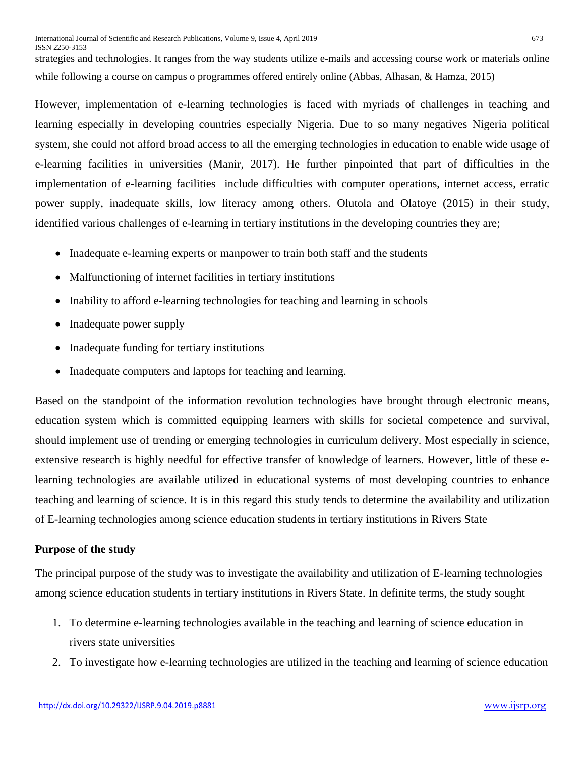strategies and technologies. It ranges from the way students utilize e-mails and accessing course work or materials online while following a course on campus o programmes offered entirely online (Abbas, Alhasan, & Hamza, 2015)

However, implementation of e-learning technologies is faced with myriads of challenges in teaching and learning especially in developing countries especially Nigeria. Due to so many negatives Nigeria political system, she could not afford broad access to all the emerging technologies in education to enable wide usage of e-learning facilities in universities (Manir, 2017). He further pinpointed that part of difficulties in the implementation of e-learning facilities include difficulties with computer operations, internet access, erratic power supply, inadequate skills, low literacy among others. Olutola and Olatoye (2015) in their study, identified various challenges of e-learning in tertiary institutions in the developing countries they are;

- Inadequate e-learning experts or manpower to train both staff and the students
- Malfunctioning of internet facilities in tertiary institutions
- Inability to afford e-learning technologies for teaching and learning in schools
- Inadequate power supply
- Inadequate funding for tertiary institutions
- Inadequate computers and laptops for teaching and learning.

Based on the standpoint of the information revolution technologies have brought through electronic means, education system which is committed equipping learners with skills for societal competence and survival, should implement use of trending or emerging technologies in curriculum delivery. Most especially in science, extensive research is highly needful for effective transfer of knowledge of learners. However, little of these elearning technologies are available utilized in educational systems of most developing countries to enhance teaching and learning of science. It is in this regard this study tends to determine the availability and utilization of E-learning technologies among science education students in tertiary institutions in Rivers State

## **Purpose of the study**

The principal purpose of the study was to investigate the availability and utilization of E-learning technologies among science education students in tertiary institutions in Rivers State. In definite terms, the study sought

- 1. To determine e-learning technologies available in the teaching and learning of science education in rivers state universities
- 2. To investigate how e-learning technologies are utilized in the teaching and learning of science education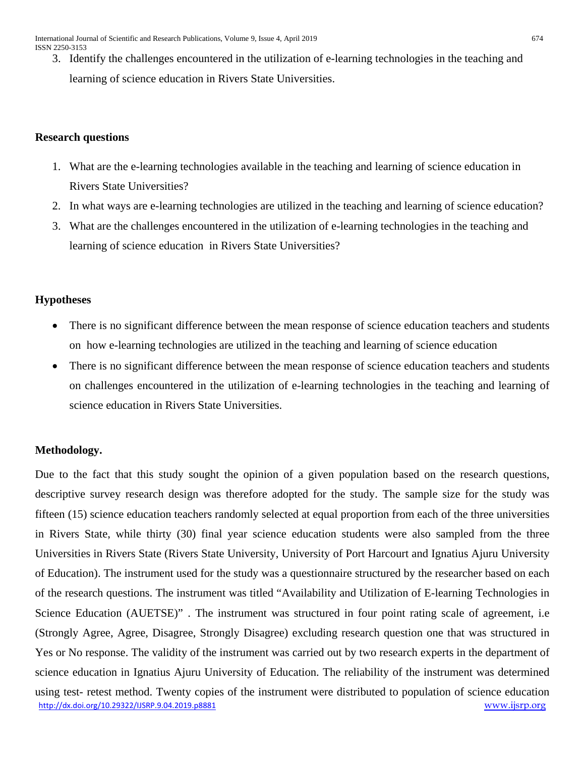3. Identify the challenges encountered in the utilization of e-learning technologies in the teaching and learning of science education in Rivers State Universities.

# **Research questions**

- 1. What are the e-learning technologies available in the teaching and learning of science education in Rivers State Universities?
- 2. In what ways are e-learning technologies are utilized in the teaching and learning of science education?
- 3. What are the challenges encountered in the utilization of e-learning technologies in the teaching and learning of science education in Rivers State Universities?

# **Hypotheses**

- There is no significant difference between the mean response of science education teachers and students on how e-learning technologies are utilized in the teaching and learning of science education
- There is no significant difference between the mean response of science education teachers and students on challenges encountered in the utilization of e-learning technologies in the teaching and learning of science education in Rivers State Universities.

# **Methodology.**

[http://dx.doi.org/10.29322/IJSRP.9.04.2019.p8881](http://dx.doi.org/10.29322/IJSRP.9.03.2019.p8881) [www.ijsrp.org](http://ijsrp.org/) Due to the fact that this study sought the opinion of a given population based on the research questions, descriptive survey research design was therefore adopted for the study. The sample size for the study was fifteen (15) science education teachers randomly selected at equal proportion from each of the three universities in Rivers State, while thirty (30) final year science education students were also sampled from the three Universities in Rivers State (Rivers State University, University of Port Harcourt and Ignatius Ajuru University of Education). The instrument used for the study was a questionnaire structured by the researcher based on each of the research questions. The instrument was titled "Availability and Utilization of E-learning Technologies in Science Education (AUETSE)" . The instrument was structured in four point rating scale of agreement, i.e (Strongly Agree, Agree, Disagree, Strongly Disagree) excluding research question one that was structured in Yes or No response. The validity of the instrument was carried out by two research experts in the department of science education in Ignatius Ajuru University of Education. The reliability of the instrument was determined using test- retest method. Twenty copies of the instrument were distributed to population of science education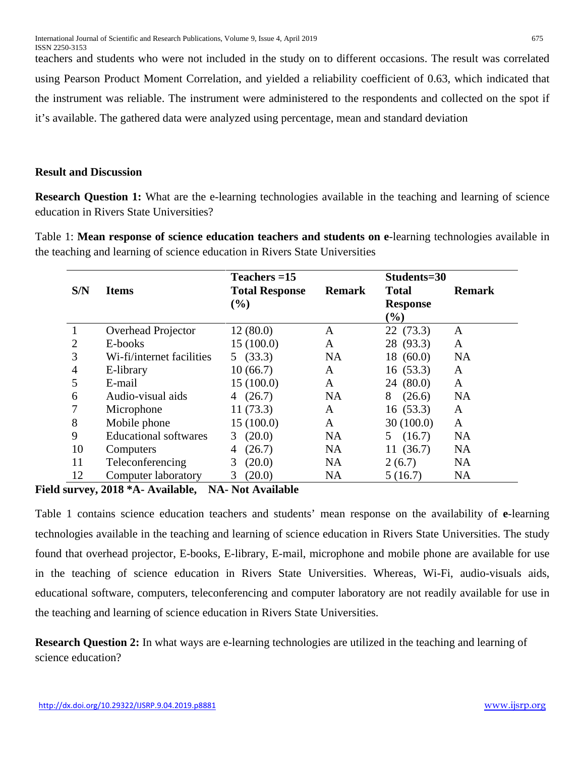teachers and students who were not included in the study on to different occasions. The result was correlated using Pearson Product Moment Correlation, and yielded a reliability coefficient of 0.63, which indicated that the instrument was reliable. The instrument were administered to the respondents and collected on the spot if it's available. The gathered data were analyzed using percentage, mean and standard deviation

## **Result and Discussion**

**Research Question 1:** What are the e-learning technologies available in the teaching and learning of science education in Rivers State Universities?

Table 1: **Mean response of science education teachers and students on e**-learning technologies available in the teaching and learning of science education in Rivers State Universities

|                |                              | Teachers $=15$        |               | Students=30                  |               |
|----------------|------------------------------|-----------------------|---------------|------------------------------|---------------|
| S/N            | <b>Items</b>                 | <b>Total Response</b> | <b>Remark</b> | <b>Total</b>                 | <b>Remark</b> |
|                |                              | $(\%)$                |               | <b>Response</b>              |               |
|                |                              |                       |               | $\left( \frac{0}{0} \right)$ |               |
|                | Overhead Projector           | 12(80.0)              | A             | 22 (73.3)                    | A             |
| $\overline{2}$ | E-books                      | 15(100.0)             | A             | 28 (93.3)                    | A             |
| 3              | Wi-fi/internet facilities    | 5(33.3)               | <b>NA</b>     | 18(60.0)                     | <b>NA</b>     |
| 4              | E-library                    | 10(66.7)              | A             | 16(53.3)                     | A             |
| 5              | E-mail                       | 15(100.0)             | A             | 24(80.0)                     | A             |
| 6              | Audio-visual aids            | (26.7)<br>4           | <b>NA</b>     | 8<br>(26.6)                  | <b>NA</b>     |
|                | Microphone                   | 11(73.3)              | A             | 16(53.3)                     | A             |
| 8              | Mobile phone                 | 15(100.0)             | A             | 30(100.0)                    | A             |
| 9              | <b>Educational softwares</b> | (20.0)<br>3           | <b>NA</b>     | (16.7)<br>5                  | <b>NA</b>     |
| 10             | Computers                    | (26.7)<br>4           | <b>NA</b>     | 11(36.7)                     | <b>NA</b>     |
| 11             | Teleconferencing             | (20.0)<br>3           | <b>NA</b>     | 2(6.7)                       | <b>NA</b>     |
| 12             | Computer laboratory          | (20.0)<br>3           | <b>NA</b>     | 5(16.7)                      | <b>NA</b>     |

**Field survey, 2018 \*A- Available, NA- Not Available** 

Table 1 contains science education teachers and students' mean response on the availability of **e**-learning technologies available in the teaching and learning of science education in Rivers State Universities. The study found that overhead projector, E-books, E-library, E-mail, microphone and mobile phone are available for use in the teaching of science education in Rivers State Universities. Whereas, Wi-Fi, audio-visuals aids, educational software, computers, teleconferencing and computer laboratory are not readily available for use in the teaching and learning of science education in Rivers State Universities.

**Research Question 2:** In what ways are e-learning technologies are utilized in the teaching and learning of science education?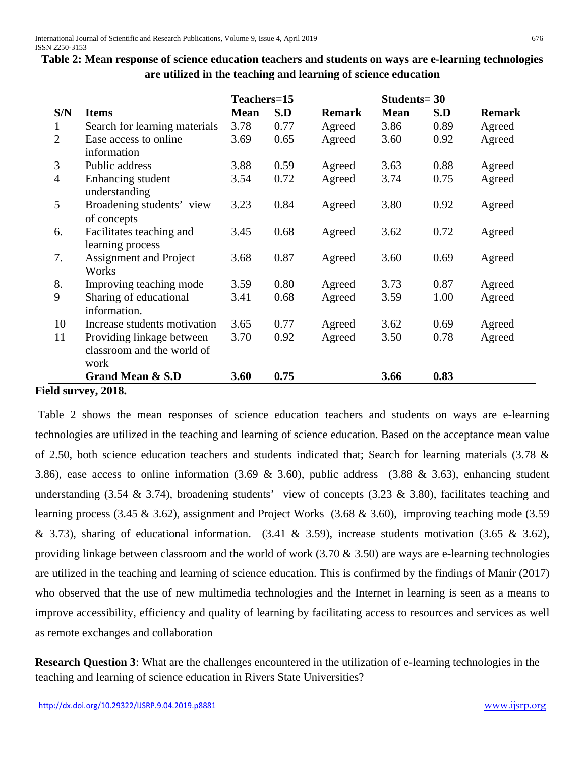|                |                               | Teachers=15 |      |               | <b>Students=30</b> |      |               |
|----------------|-------------------------------|-------------|------|---------------|--------------------|------|---------------|
| S/N            | <b>Items</b>                  | <b>Mean</b> | S.D  | <b>Remark</b> | <b>Mean</b>        | S.D  | <b>Remark</b> |
| $\mathbf{1}$   | Search for learning materials | 3.78        | 0.77 | Agreed        | 3.86               | 0.89 | Agreed        |
| 2              | Ease access to online         | 3.69        | 0.65 | Agreed        | 3.60               | 0.92 | Agreed        |
|                | information                   |             |      |               |                    |      |               |
| 3              | Public address                | 3.88        | 0.59 | Agreed        | 3.63               | 0.88 | Agreed        |
| $\overline{4}$ | Enhancing student             | 3.54        | 0.72 | Agreed        | 3.74               | 0.75 | Agreed        |
|                | understanding                 |             |      |               |                    |      |               |
| 5              | Broadening students' view     | 3.23        | 0.84 | Agreed        | 3.80               | 0.92 | Agreed        |
|                | of concepts                   |             |      |               |                    |      |               |
| 6.             | Facilitates teaching and      | 3.45        | 0.68 | Agreed        | 3.62               | 0.72 | Agreed        |
|                | learning process              |             |      |               |                    |      |               |
| 7.             | <b>Assignment and Project</b> | 3.68        | 0.87 | Agreed        | 3.60               | 0.69 | Agreed        |
|                | Works                         |             |      |               |                    |      |               |
| 8.             | Improving teaching mode       | 3.59        | 0.80 | Agreed        | 3.73               | 0.87 | Agreed        |
| 9              | Sharing of educational        | 3.41        | 0.68 | Agreed        | 3.59               | 1.00 | Agreed        |
|                | information.                  |             |      |               |                    |      |               |
| 10             | Increase students motivation  | 3.65        | 0.77 | Agreed        | 3.62               | 0.69 | Agreed        |
| 11             | Providing linkage between     | 3.70        | 0.92 | Agreed        | 3.50               | 0.78 | Agreed        |
|                | classroom and the world of    |             |      |               |                    |      |               |
|                | work                          |             |      |               |                    |      |               |
|                | <b>Grand Mean &amp; S.D</b>   | 3.60        | 0.75 |               | 3.66               | 0.83 |               |
|                | ald curvov 2018               |             |      |               |                    |      |               |

**Table 2: Mean response of science education teachers and students on ways are e-learning technologies are utilized in the teaching and learning of science education**

## **Field survey, 2018.**

Table 2 shows the mean responses of science education teachers and students on ways are e-learning technologies are utilized in the teaching and learning of science education. Based on the acceptance mean value of 2.50, both science education teachers and students indicated that; Search for learning materials (3.78 & 3.86), ease access to online information (3.69 & 3.60), public address (3.88 & 3.63), enhancing student understanding  $(3.54 \& 3.74)$ , broadening students' view of concepts  $(3.23 \& 3.80)$ , facilitates teaching and learning process (3.45 & 3.62), assignment and Project Works (3.68 & 3.60), improving teaching mode (3.59 & 3.73), sharing of educational information.  $(3.41 \& 3.59)$ , increase students motivation  $(3.65 \& 3.62)$ , providing linkage between classroom and the world of work (3.70 & 3.50) are ways are e-learning technologies are utilized in the teaching and learning of science education. This is confirmed by the findings of Manir (2017) who observed that the use of new multimedia technologies and the Internet in learning is seen as a means to improve accessibility, efficiency and quality of learning by facilitating access to resources and services as well as remote exchanges and collaboration

**Research Question 3**: What are the challenges encountered in the utilization of e-learning technologies in the teaching and learning of science education in Rivers State Universities?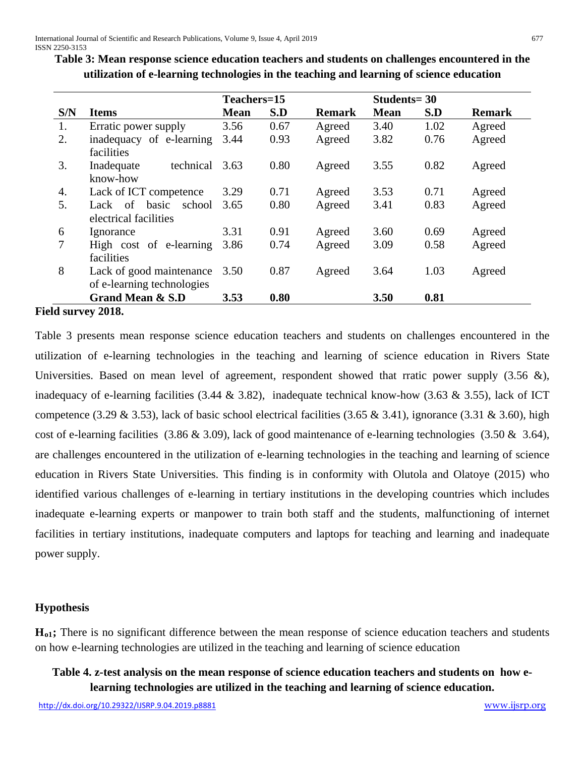**Table 3: Mean response science education teachers and students on challenges encountered in the utilization of e-learning technologies in the teaching and learning of science education**

|                |                                                        | Teachers=15 |      |               | Students = $30$ |      |               |
|----------------|--------------------------------------------------------|-------------|------|---------------|-----------------|------|---------------|
| S/N            | <b>Items</b>                                           | <b>Mean</b> | S.D  | <b>Remark</b> | <b>Mean</b>     | S.D  | <b>Remark</b> |
| 1.             | Erratic power supply                                   | 3.56        | 0.67 | Agreed        | 3.40            | 1.02 | Agreed        |
| 2.             | inadequacy of e-learning<br>facilities                 | 3.44        | 0.93 | Agreed        | 3.82            | 0.76 | Agreed        |
| 3.             | technical<br>Inadequate<br>know-how                    | 3.63        | 0.80 | Agreed        | 3.55            | 0.82 | Agreed        |
| 4.             | Lack of ICT competence                                 | 3.29        | 0.71 | Agreed        | 3.53            | 0.71 | Agreed        |
| 5.             | of<br>basic<br>school<br>Lack<br>electrical facilities | 3.65        | 0.80 | Agreed        | 3.41            | 0.83 | Agreed        |
| 6              | Ignorance                                              | 3.31        | 0.91 | Agreed        | 3.60            | 0.69 | Agreed        |
| $\overline{7}$ | High cost of e-learning<br>facilities                  | 3.86        | 0.74 | Agreed        | 3.09            | 0.58 | Agreed        |
| 8              | Lack of good maintenance<br>of e-learning technologies | 3.50        | 0.87 | Agreed        | 3.64            | 1.03 | Agreed        |
|                | <b>Grand Mean &amp; S.D</b>                            | 3.53        | 0.80 |               | 3.50            | 0.81 |               |
|                | 1.1 <i>amman</i> 2019                                  |             |      |               |                 |      |               |

**Field survey 2018.**

Table 3 presents mean response science education teachers and students on challenges encountered in the utilization of e-learning technologies in the teaching and learning of science education in Rivers State Universities. Based on mean level of agreement, respondent showed that rratic power supply  $(3.56 \&)$ , inadequacy of e-learning facilities (3.44  $\&$  3.82), inadequate technical know-how (3.63  $\&$  3.55), lack of ICT competence (3.29  $\&$  3.53), lack of basic school electrical facilities (3.65  $\&$  3.41), ignorance (3.31  $\&$  3.60), high cost of e-learning facilities (3.86 & 3.09), lack of good maintenance of e-learning technologies (3.50 & 3.64), are challenges encountered in the utilization of e-learning technologies in the teaching and learning of science education in Rivers State Universities. This finding is in conformity with Olutola and Olatoye (2015) who identified various challenges of e-learning in tertiary institutions in the developing countries which includes inadequate e-learning experts or manpower to train both staff and the students, malfunctioning of internet facilities in tertiary institutions, inadequate computers and laptops for teaching and learning and inadequate power supply.

## **Hypothesis**

**Ho1;** There is no significant difference between the mean response of science education teachers and students on how e-learning technologies are utilized in the teaching and learning of science education

# **Table 4. z-test analysis on the mean response of science education teachers and students on how elearning technologies are utilized in the teaching and learning of science education.**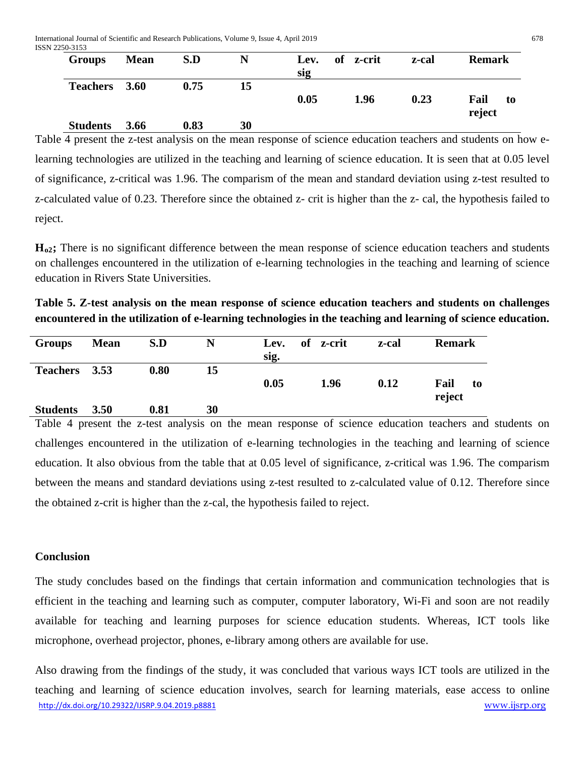International Journal of Scientific and Research Publications, Volume 9, Issue 4, April 2019 678 ISSN 2250-3153

| <b>Groups</b>   | <b>Mean</b> | S.D  | N  | Lev. | of z-crit | z-cal | <b>Remark</b> |
|-----------------|-------------|------|----|------|-----------|-------|---------------|
| <b>Teachers</b> | 3.60        | 0.75 | 15 | sig  |           |       |               |
|                 |             |      |    | 0.05 | 1.96      | 0.23  | Fail<br>to    |
|                 |             |      |    |      |           |       | reject        |
| <b>Students</b> | 3.66        | 0.83 | 30 |      |           |       |               |

Table 4 present the z-test analysis on the mean response of science education teachers and students on how elearning technologies are utilized in the teaching and learning of science education. It is seen that at 0.05 level of significance, z-critical was 1.96. The comparism of the mean and standard deviation using z-test resulted to z-calculated value of 0.23. Therefore since the obtained z- crit is higher than the z- cal, the hypothesis failed to reject.

**Ho2;** There is no significant difference between the mean response of science education teachers and students on challenges encountered in the utilization of e-learning technologies in the teaching and learning of science education in Rivers State Universities.

**Table 5. Z-test analysis on the mean response of science education teachers and students on challenges encountered in the utilization of e-learning technologies in the teaching and learning of science education.**

| <b>Groups</b>   | <b>Mean</b> | S.D  | N  | Lev. | of z-crit | z-cal | <b>Remark</b> |
|-----------------|-------------|------|----|------|-----------|-------|---------------|
|                 |             |      |    | sig. |           |       |               |
| Teachers 3.53   |             | 0.80 | 15 |      |           |       |               |
|                 |             |      |    | 0.05 | 1.96      | 0.12  | Fail<br>to    |
|                 |             |      |    |      |           |       | reject        |
| <b>Students</b> | 3.50        | 0.81 | 30 |      |           |       |               |

Table 4 present the z-test analysis on the mean response of science education teachers and students on challenges encountered in the utilization of e-learning technologies in the teaching and learning of science education. It also obvious from the table that at 0.05 level of significance, z-critical was 1.96. The comparism between the means and standard deviations using z-test resulted to z-calculated value of 0.12. Therefore since the obtained z-crit is higher than the z-cal, the hypothesis failed to reject.

## **Conclusion**

The study concludes based on the findings that certain information and communication technologies that is efficient in the teaching and learning such as computer, computer laboratory, Wi-Fi and soon are not readily available for teaching and learning purposes for science education students. Whereas, ICT tools like microphone, overhead projector, phones, e-library among others are available for use.

[http://dx.doi.org/10.29322/IJSRP.9.04.2019.p8881](http://dx.doi.org/10.29322/IJSRP.9.03.2019.p8881) [www.ijsrp.org](http://ijsrp.org/) Also drawing from the findings of the study, it was concluded that various ways ICT tools are utilized in the teaching and learning of science education involves, search for learning materials, ease access to online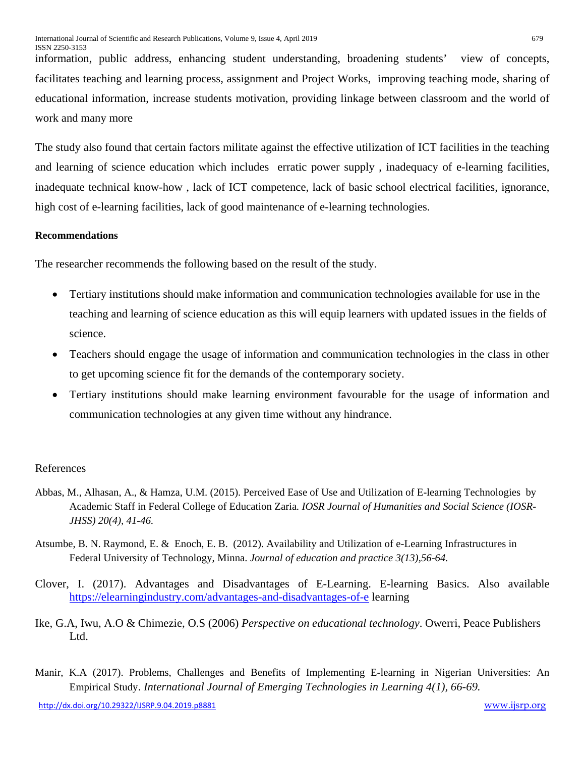information, public address, enhancing student understanding, broadening students' view of concepts, facilitates teaching and learning process, assignment and Project Works, improving teaching mode, sharing of educational information, increase students motivation, providing linkage between classroom and the world of work and many more

The study also found that certain factors militate against the effective utilization of ICT facilities in the teaching and learning of science education which includes erratic power supply , inadequacy of e-learning facilities, inadequate technical know-how , lack of ICT competence, lack of basic school electrical facilities, ignorance, high cost of e-learning facilities, lack of good maintenance of e-learning technologies.

#### **Recommendations**

The researcher recommends the following based on the result of the study.

- Tertiary institutions should make information and communication technologies available for use in the teaching and learning of science education as this will equip learners with updated issues in the fields of science.
- Teachers should engage the usage of information and communication technologies in the class in other to get upcoming science fit for the demands of the contemporary society.
- Tertiary institutions should make learning environment favourable for the usage of information and communication technologies at any given time without any hindrance.

#### References

- Abbas, M., Alhasan, A., & Hamza, U.M. (2015). Perceived Ease of Use and Utilization of E-learning Technologies by Academic Staff in Federal College of Education Zaria*. IOSR Journal of Humanities and Social Science (IOSR-JHSS) 20(4), 41-46.*
- Atsumbe, B. N. Raymond, E. & Enoch, E. B. (2012). Availability and Utilization of e-Learning Infrastructures in Federal University of Technology, Minna. *Journal of education and practice 3(13),56-64.*
- Clover, I. (2017). Advantages and Disadvantages of E-Learning. E-learning Basics. Also available <https://elearningindustry.com/advantages-and-disadvantages-of-e> learning
- Ike, G.A, Iwu, A.O & Chimezie, O.S (2006) *Perspective on educational technology*. Owerri, Peace Publishers Ltd.
- Manir, K.A (2017). Problems, Challenges and Benefits of Implementing E-learning in Nigerian Universities: An Empirical Study. *International Journal of Emerging Technologies in Learning 4(1), 66-69.*